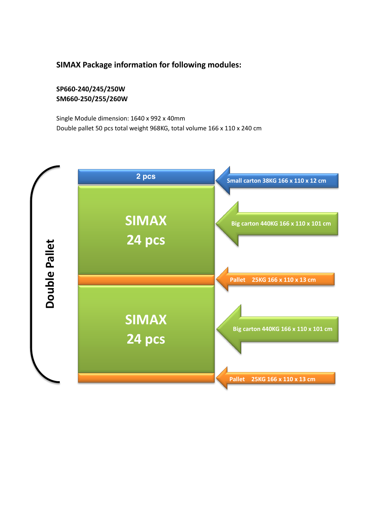## **SIMAX Package information for following modules:**

**SP660-240/245/250W SM660-250/255/260W**

Single Module dimension: 1640 x 992 x 40mm Double pallet 50 pcs total weight 968KG, total volume 166 x 110 x 240 cm

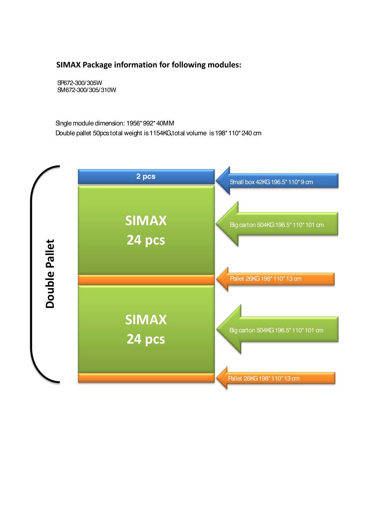## **SIMAX Package information for following modules:**

SP672-300/305W SM672-300/305/310W

Single module dimension: 1956\*992\*40MM Double pallet 50pcs total weight is 1154KG,total volume is 198\*110\*240 cm